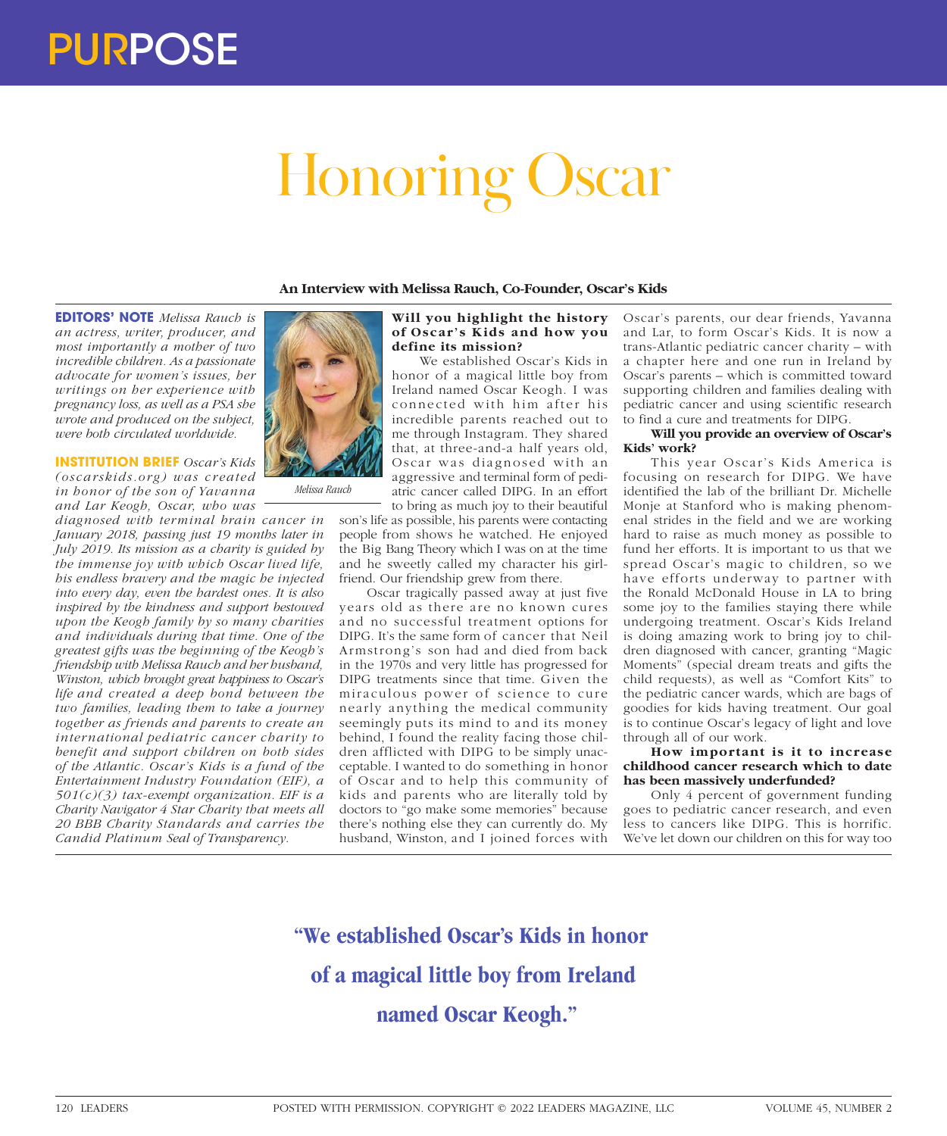## PURPOSE

# Honoring Oscar

**An Interview with Melissa Rauch, Co-Founder, Oscar's Kids**

**EDITORS' NOTE** *Melissa Rauch is an actress, writer, producer, and most importantly a mother of two incredible children. As a passionate advocate for women's issues, her writings on her experience with pregnancy loss, as well as a PSA she wrote and produced on the subject, were both circulated worldwide.*

**INSTITUTION BRIEF** *Oscar's Kids (oscarskids.or g) was cr eated in honor of the son of Yavanna and Lar Keogh, Oscar, who was* 

*diagnosed with terminal brain cancer in January 2018, passing just 19 months later in July 2019. Its mission as a charity is guided by the immense joy with which Oscar lived life, his endless bravery and the magic he injected into every day, even the hardest ones. It is also inspired by the kindness and support bestowed upon the Keogh family by so many charities and individuals during that time. One of the greatest gifts was the beginning of the Keogh's friendship with Melissa Rauch and her husband, Winston, which brought great happiness to Oscar's life and created a deep bond between the two families, leading them to take a journey together as friends and parents to create an international pediatric cancer charity to benefit and support children on both sides of the Atlantic. Oscar's Kids is a fund of the Entertainment Industry Foundation (EIF), a 501(c)(3) tax-exempt organization. EIF is a Charity Navigator 4 Star Charity that meets all 20 BBB Charity Standards and carries the Candid Platinum Seal of Transparency.*



*Melissa Rauch*

#### **Will you highlight the history of Oscar's Kids and how you define its mission?**

We established Oscar's Kids in honor of a magical little boy from Ireland named Oscar Keogh. I was connected with him after his incredible parents reached out to me through Instagram. They shared that, at three-and-a half years old, Oscar was diagnosed with an aggressive and terminal form of pediatric cancer called DIPG. In an effort to bring as much joy to their beautiful

son's life as possible, his parents were contacting people from shows he watched. He enjoyed the Big Bang Theory which I was on at the time and he sweetly called my character his girlfriend. Our friendship grew from there.

Oscar tragically passed away at just five years old as there are no known cures and no successful treatment options for DIPG. It's the same form of cancer that Neil Armstrong's son had and died from back in the 1970s and very little has progressed for DIPG treatments since that time. Given the miraculous power of science to cure nearly anything the medical community seemingly puts its mind to and its money behind, I found the reality facing those children afflicted with DIPG to be simply unacceptable. I wanted to do something in honor of Oscar and to help this community of kids and parents who are literally told by doctors to "go make some memories" because there's nothing else they can currently do. My husband, Winston, and I joined forces with

Oscar's parents, our dear friends, Yavanna and Lar, to form Oscar's Kids. It is now a trans-Atlantic pediatric cancer charity – with a chapter here and one run in Ireland by Oscar's parents – which is committed toward supporting children and families dealing with pediatric cancer and using scientific research to find a cure and treatments for DIPG.

#### **Will you provide an overview of Oscar's Kids' work?**

This year Oscar's Kids America is focusing on research for DIPG. We have identified the lab of the brilliant Dr. Michelle Monje at Stanford who is making phenomenal strides in the field and we are working hard to raise as much money as possible to fund her efforts. It is important to us that we spread Oscar's magic to children, so we have efforts underway to partner with the Ronald McDonald House in LA to bring some joy to the families staying there while undergoing treatment. Oscar's Kids Ireland is doing amazing work to bring joy to children diagnosed with cancer, granting "Magic Moments" (special dream treats and gifts the child requests), as well as "Comfort Kits" to the pediatric cancer wards, which are bags of goodies for kids having treatment. Our goal is to continue Oscar's legacy of light and love through all of our work.

#### **How important is it to increase childhood cancer research which to date has been massively underfunded?**

Only 4 percent of government funding goes to pediatric cancer research, and even less to cancers like DIPG. This is horrific. We've let down our children on this for way too

**"We established Oscar's Kids in honor of a magical little boy from Ireland named Oscar Keogh."**